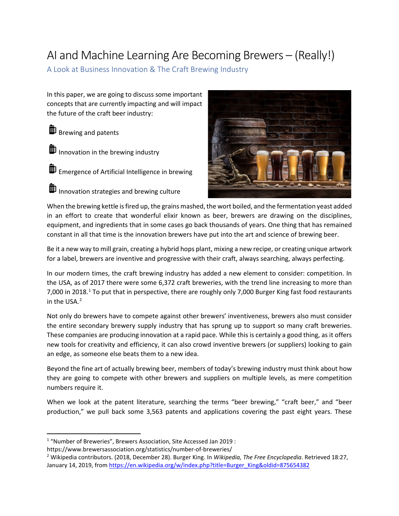# AI and Machine Learning Are Becoming Brewers – (Really!)

A Look at Business Innovation & The Craft Brewing Industry

In this paper, we are going to discuss some important concepts that are currently impacting and will impact the future of the craft beer industry:

**B** Brewing and patents

 $\mathbf{I}$  Innovation in the brewing industry

**ID** Emergence of Artificial Intelligence in brewing

 $\overline{\mathbf{1}}$  Innovation strategies and brewing culture



When the brewing kettle is fired up, the grains mashed, the wort boiled, and the fermentation yeast added in an effort to create that wonderful elixir known as beer, brewers are drawing on the disciplines, equipment, and ingredients that in some cases go back thousands of years. One thing that has remained constant in all that time is the innovation brewers have put into the art and science of brewing beer.

Be it a new way to mill grain, creating a hybrid hops plant, mixing a new recipe, or creating unique artwork for a label, brewers are inventive and progressive with their craft, always searching, always perfecting.

In our modern times, the craft brewing industry has added a new element to consider: competition. In the USA, as of 2017 there were some 6,372 craft breweries, with the trend line increasing to more than 7,000 in 20[1](#page-0-0)8.<sup>1</sup> To put that in perspective, there are roughly only 7,000 Burger King fast food restaurants in the USA. $<sup>2</sup>$  $<sup>2</sup>$  $<sup>2</sup>$ </sup>

Not only do brewers have to compete against other brewers' inventiveness, brewers also must consider the entire secondary brewery supply industry that has sprung up to support so many craft breweries. These companies are producing innovation at a rapid pace. While this is certainly a good thing, as it offers new tools for creativity and efficiency, it can also crowd inventive brewers (or suppliers) looking to gain an edge, as someone else beats them to a new idea.

Beyond the fine art of actually brewing beer, members of today's brewing industry must think about how they are going to compete with other brewers and suppliers on multiple levels, as mere competition numbers require it.

When we look at the patent literature, searching the terms "beer brewing," "craft beer," and "beer production," we pull back some 3,563 patents and applications covering the past eight years. These

https://www.brewersassociation.org/statistics/number-of-breweries/

<span id="page-0-0"></span> <sup>1</sup> "Number of Breweries", Brewers Association, Site Accessed Jan 2019 :

<span id="page-0-1"></span><sup>2</sup> Wikipedia contributors. (2018, December 28). Burger King. In *Wikipedia, The Free Encyclopedia*. Retrieved 18:27, January 14, 2019, fro[m https://en.wikipedia.org/w/index.php?title=Burger\\_King&oldid=875654382](https://en.wikipedia.org/w/index.php?title=Burger_King&oldid=875654382)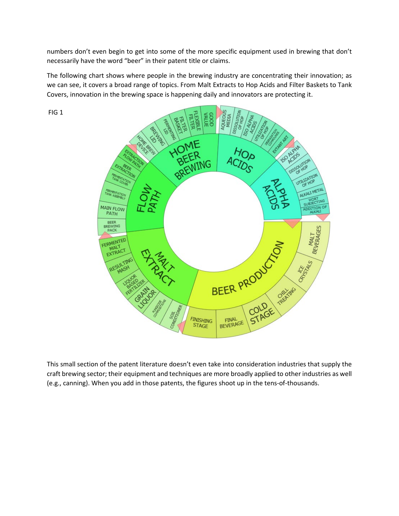numbers don't even begin to get into some of the more specific equipment used in brewing that don't necessarily have the word "beer" in their patent title or claims.

The following chart shows where people in the brewing industry are concentrating their innovation; as we can see, it covers a broad range of topics. From Malt Extracts to Hop Acids and Filter Baskets to Tank Covers, innovation in the brewing space is happening daily and innovators are protecting it.

FIG 1



This small section of the patent literature doesn't even take into consideration industries that supply the craft brewing sector; their equipment and techniques are more broadly applied to other industries as well (e.g., canning). When you add in those patents, the figures shoot up in the tens-of-thousands.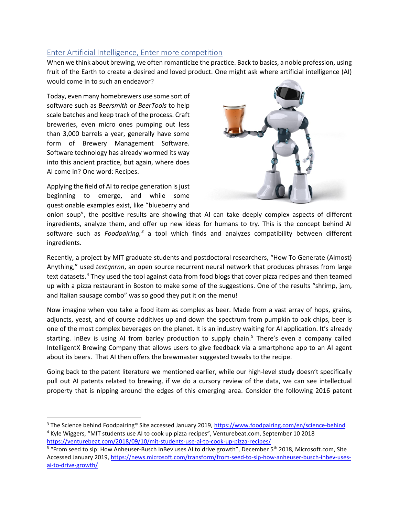## Enter Artificial Intelligence, Enter more competition

When we think about brewing, we often romanticize the practice. Back to basics, a noble profession, using fruit of the Earth to create a desired and loved product. One might ask where artificial intelligence (AI) would come in to such an endeavor?

Today, even many homebrewers use some sort of software such as *Beersmith* or *BeerTools* to help scale batches and keep track of the process. Craft breweries, even micro ones pumping out less than 3,000 barrels a year, generally have some form of Brewery Management Software. Software technology has already wormed its way into this ancient practice, but again, where does AI come in? One word: Recipes.

Applying the field of AI to recipe generation is just beginning to emerge, and while some questionable examples exist, like "blueberry and



onion soup", the positive results are showing that AI can take deeply complex aspects of different ingredients, analyze them, and offer up new ideas for humans to try. This is the concept behind AI software such as *Foodpairing, [3](#page-2-0)* a tool which finds and analyzes compatibility between different ingredients.

Recently, a project by MIT graduate students and postdoctoral researchers, "How To Generate (Almost) Anything," used *textgnrnn*, an open source recurrent neural network that produces phrases from large text datasets.<sup>[4](#page-2-1)</sup> They used the tool against data from food blogs that cover pizza recipes and then teamed up with a pizza restaurant in Boston to make some of the suggestions. One of the results "shrimp, jam, and Italian sausage combo" was so good they put it on the menu!

Now imagine when you take a food item as complex as beer. Made from a vast array of hops, grains, adjuncts, yeast, and of course additives up and down the spectrum from pumpkin to oak chips, beer is one of the most complex beverages on the planet. It is an industry waiting for AI application. It's already starting. InBev is using AI from barley production to supply chain.<sup>[5](#page-2-2)</sup> There's even a company called IntelligentX Brewing Company that allows users to give feedback via a smartphone app to an AI agent about its beers. That AI then offers the brewmaster suggested tweaks to the recipe.

Going back to the patent literature we mentioned earlier, while our high-level study doesn't specifically pull out AI patents related to brewing, if we do a cursory review of the data, we can see intellectual property that is nipping around the edges of this emerging area. Consider the following 2016 patent

<span id="page-2-1"></span><span id="page-2-0"></span><sup>&</sup>lt;sup>3</sup> The Science behind Foodpairing® Site accessed January 2019[, https://www.foodpairing.com/en/science-behind](https://www.foodpairing.com/en/science-behind) <sup>4</sup> Kyle Wiggers, "MIT students use AI to cook up pizza recipes", Venturebeat.com, September 10 2018 <https://venturebeat.com/2018/09/10/mit-students-use-ai-to-cook-up-pizza-recipes/>

<span id="page-2-2"></span><sup>&</sup>lt;sup>5</sup> "From seed to sip: How Anheuser-Busch InBev uses AI to drive growth", December 5<sup>th</sup> 2018, Microsoft.com, Site Accessed January 2019, [https://news.microsoft.com/transform/from-seed-to-sip-how-anheuser-busch-inbev-uses](https://news.microsoft.com/transform/from-seed-to-sip-how-anheuser-busch-inbev-uses-ai-to-drive-growth/)[ai-to-drive-growth/](https://news.microsoft.com/transform/from-seed-to-sip-how-anheuser-busch-inbev-uses-ai-to-drive-growth/)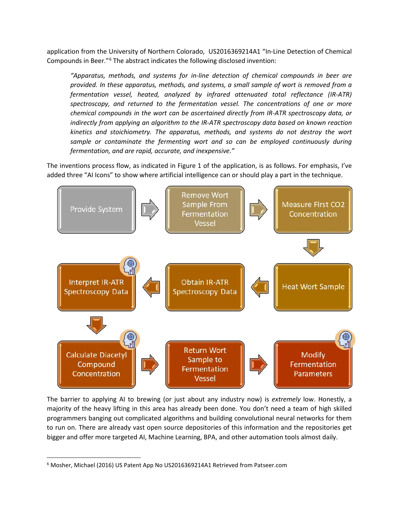application from the University of Northern Colorado, US2016369214A1 "In-Line Detection of Chemical Compounds in Beer."[6](#page-3-0) The abstract indicates the following disclosed invention:

*"Apparatus, methods, and systems for in-line detection of chemical compounds in beer are provided. In these apparatus, methods, and systems, a small sample of wort is removed from a fermentation vessel, heated, analyzed by infrared attenuated total reflectance (IR-ATR) spectroscopy, and returned to the fermentation vessel. The concentrations of one or more chemical compounds in the wort can be ascertained directly from IR-ATR spectroscopy data, or indirectly from applying an algorithm to the IR-ATR spectroscopy data based on known reaction kinetics and stoichiometry. The apparatus, methods, and systems do not destroy the wort*  sample or contaminate the fermenting wort and so can be employed continuously during *fermentation, and are rapid, accurate, and inexpensive."*

The inventions process flow, as indicated in Figure 1 of the application, is as follows. For emphasis, I've added three "AI Icons" to show where artificial intelligence can or should play a part in the technique.



The barrier to applying AI to brewing (or just about any industry now) is *extremely* low. Honestly, a majority of the heavy lifting in this area has already been done. You don't need a team of high skilled programmers banging out complicated algorithms and building convolutional neural networks for them to run on. There are already vast open source depositories of this information and the repositories get bigger and offer more targeted AI, Machine Learning, BPA, and other automation tools almost daily.

<span id="page-3-0"></span> <sup>6</sup> Mosher, Michael (2016) US Patent App No US2016369214A1 Retrieved from Patseer.com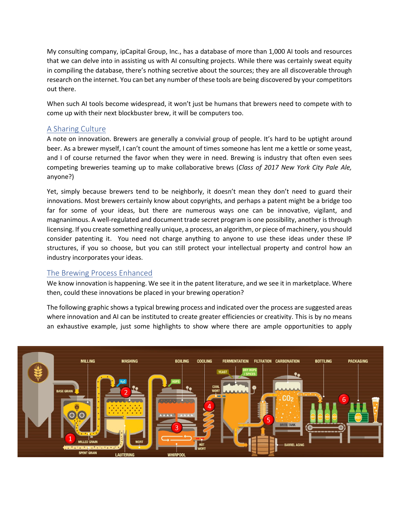My consulting company, ipCapital Group, Inc., has a database of more than 1,000 AI tools and resources that we can delve into in assisting us with AI consulting projects. While there was certainly sweat equity in compiling the database, there's nothing secretive about the sources; they are all discoverable through research on the internet. You can bet any number of these tools are being discovered by your competitors out there.

When such AI tools become widespread, it won't just be humans that brewers need to compete with to come up with their next blockbuster brew, it will be computers too.

### A Sharing Culture

A note on innovation. Brewers are generally a convivial group of people. It's hard to be uptight around beer. As a brewer myself, I can't count the amount of times someone has lent me a kettle or some yeast, and I of course returned the favor when they were in need. Brewing is industry that often even sees competing breweries teaming up to make collaborative brews (*Class of 2017 New York City Pale Ale,* anyone?)

Yet, simply because brewers tend to be neighborly, it doesn't mean they don't need to guard their innovations. Most brewers certainly know about copyrights, and perhaps a patent might be a bridge too far for some of your ideas, but there are numerous ways one can be innovative, vigilant, and magnanimous. A well-regulated and document trade secret program is one possibility, another is through licensing. If you create something really unique, a process, an algorithm, or piece of machinery, you should consider patenting it. You need not charge anything to anyone to use these ideas under these IP structures, if you so choose, but you can still protect your intellectual property and control how an industry incorporates your ideas.

#### The Brewing Process Enhanced

We know innovation is happening. We see it in the patent literature, and we see it in marketplace. Where then, could these innovations be placed in your brewing operation?

The following graphic shows a typical brewing process and indicated over the process are suggested areas where innovation and AI can be instituted to create greater efficiencies or creativity. This is by no means an exhaustive example, just some highlights to show where there are ample opportunities to apply

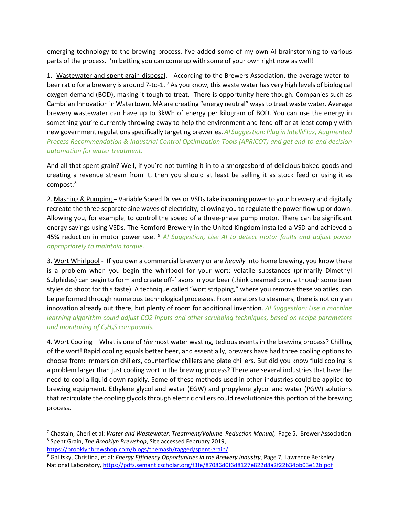emerging technology to the brewing process. I've added some of my own AI brainstorming to various parts of the process. I'm betting you can come up with some of your own right now as well!

1. Wastewater and spent grain disposal. - According to the Brewers Association, the average water-tobeer ratio for a brewery is around 7-to-1. [7](#page-5-0) As you know, this waste water has very high levels of biological oxygen demand (BOD), making it tough to treat. There is opportunity here though. Companies such as Cambrian Innovation in Watertown, MA are creating "energy neutral" ways to treat waste water. Average brewery wastewater can have up to 3kWh of energy per kilogram of BOD. You can use the energy in something you're currently throwing away to help the environment and fend off or at least comply with new government regulations specifically targeting breweries. *AI Suggestion: Plug in IntelliFlux, Augmented Process Recommendation & Industrial Control Optimization Tools (APRICOT) and get end-to-end decision automation for water treatment.*

And all that spent grain? Well, if you're not turning it in to a smorgasbord of delicious baked goods and creating a revenue stream from it, then you should at least be selling it as stock feed or using it as compost. [8](#page-5-1)

2. Mashing & Pumping – Variable Speed Drives or VSDstake incoming power to your brewery and digitally recreate the three separate sine waves of electricity, allowing you to regulate the power flow up or down. Allowing you, for example, to control the speed of a three-phase pump motor. There can be significant energy savings using VSDs. The Romford Brewery in the United Kingdom installed a VSD and achieved a 45% reduction in motor power use. [9](#page-5-2) *AI Suggestion, Use AI to detect motor faults and adjust power appropriately to maintain torque.* 

3. Wort Whirlpool - If you own a commercial brewery or are *heavily* into home brewing, you know there is a problem when you begin the whirlpool for your wort; volatile substances (primarily Dimethyl Sulphides) can begin to form and create off-flavors in your beer (think creamed corn, although some beer styles do shoot for this taste). A technique called "wort stripping," where you remove these volatiles, can be performed through numerous technological processes. From aerators to steamers, there is not only an innovation already out there, but plenty of room for additional invention. *AI Suggestion: Use a machine learning algorithm could adjust CO2 inputs and other scrubbing techniques, based on recipe parameters and monitoring of C2H6S compounds.* 

4. Wort Cooling – What is one of *the* most water wasting, tedious events in the brewing process? Chilling of the wort! Rapid cooling equals better beer, and essentially, brewers have had three cooling options to choose from: Immersion chillers, counterflow chillers and plate chillers. But did you know fluid cooling is a problem larger than just cooling wort in the brewing process? There are several industries that have the need to cool a liquid down rapidly. Some of these methods used in other industries could be applied to brewing equipment. Ethylene glycol and water (EGW) and propylene glycol and water (PGW) solutions that recirculate the cooling glycols through electric chillers could revolutionize this portion of the brewing process.

<span id="page-5-1"></span><span id="page-5-0"></span><sup>&</sup>lt;sup>7</sup> Chastain, Cheri et al: *Water and Wastewater: Treatment/Volume Reduction Manual, Page 5, Brewer Association*<br><sup>8</sup> Spent Grain, *The Brooklyn Brewshop*, Site accessed February 2019,

<https://brooklynbrewshop.com/blogs/themash/tagged/spent-grain/>

<span id="page-5-2"></span><sup>9</sup> Galitsky, Christina, et al: *Energy Efficiency Opportunities in the Brewery Industry*, Page 7, Lawrence Berkeley National Laboratory,<https://pdfs.semanticscholar.org/f3fe/87086d0f6d8127e822d8a2f22b34bb03e12b.pdf>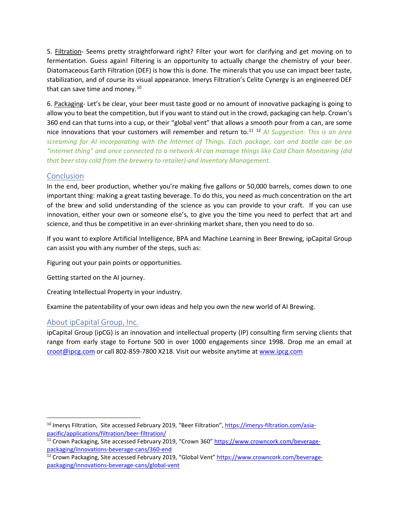5. Filtration- Seems pretty straightforward right? Filter your wort for clarifying and get moving on to fermentation. Guess again! Filtering is an opportunity to actually change the chemistry of your beer. Diatomaceous Earth Filtration (DEF) is how this is done. The minerals that you use can impact beer taste, stabilization, and of course its visual appearance. Imerys Filtration's Celite Cynergy is an engineered DEF that can save time and money.<sup>[10](#page-6-0)</sup>

6. Packaging- Let's be clear, your beer must taste good or no amount of innovative packaging is going to allow you to beat the competition, but if you want to stand out in the crowd, packaging can help. Crown's 360 end can that turns into a cup, or their "global vent" that allows a smooth pour from a can, are some nice innovations that your customers will remember and return to.[11](#page-6-1) [12](#page-6-2) *AI Suggestion: This is an area screaming for AI incorporating with the Internet of Things. Each package, can and bottle can be an "internet thing" and once connected to a network AI can manage things like Cold Chain Monitoring (did that beer stay cold from the brewery to retailer) and Inventory Management.*

#### Conclusion

In the end, beer production, whether you're making five gallons or 50,000 barrels, comes down to one important thing: making a great tasting beverage. To do this, you need as much concentration on the art of the brew and solid understanding of the science as you can provide to your craft. If you can use innovation, either your own or someone else's, to give you the time you need to perfect that art and science, and thus be competitive in an ever-shrinking market share, then you need to do so.

If you want to explore Artificial Intelligence, BPA and Machine Learning in Beer Brewing, ipCapital Group can assist you with any number of the steps, such as:

Figuring out your pain points or opportunities.

Getting started on the AI journey.

Creating Intellectual Property in your industry.

Examine the patentability of your own ideas and help you own the new world of AI Brewing.

#### About ipCapital Group, Inc.

ipCapital Group (ipCG) is an innovation and intellectual property (IP) consulting firm serving clients that range from early stage to Fortune 500 in over 1000 engagements since 1998. Drop me an email at [croot@ipcg.com](mailto:croot@ipcg.com) or call 802-859-7800 X218. Visit our website anytime at [www.ipcg.com](http://www.ipcg.com/)

<span id="page-6-0"></span><sup>&</sup>lt;sup>10</sup> Imerys Filtration, Site accessed February 2019, "Beer Filtration"[, https://imerys-filtration.com/asia](https://imerys-filtration.com/asia-pacific/applications/filtration/beer-filtration/)[pacific/applications/filtration/beer-filtration/](https://imerys-filtration.com/asia-pacific/applications/filtration/beer-filtration/)

<span id="page-6-1"></span><sup>&</sup>lt;sup>11</sup> Crown Packaging, Site accessed February 2019, "Crown 360" [https://www.crowncork.com/beverage](https://www.crowncork.com/beverage-packaging/innovations-beverage-cans/360-end)[packaging/innovations-beverage-cans/360-end](https://www.crowncork.com/beverage-packaging/innovations-beverage-cans/360-end)

<span id="page-6-2"></span><sup>&</sup>lt;sup>12</sup> Crown Packaging, Site accessed February 2019, "Global Vent" [https://www.crowncork.com/beverage](https://www.crowncork.com/beverage-packaging/innovations-beverage-cans/global-vent)[packaging/innovations-beverage-cans/global-vent](https://www.crowncork.com/beverage-packaging/innovations-beverage-cans/global-vent)